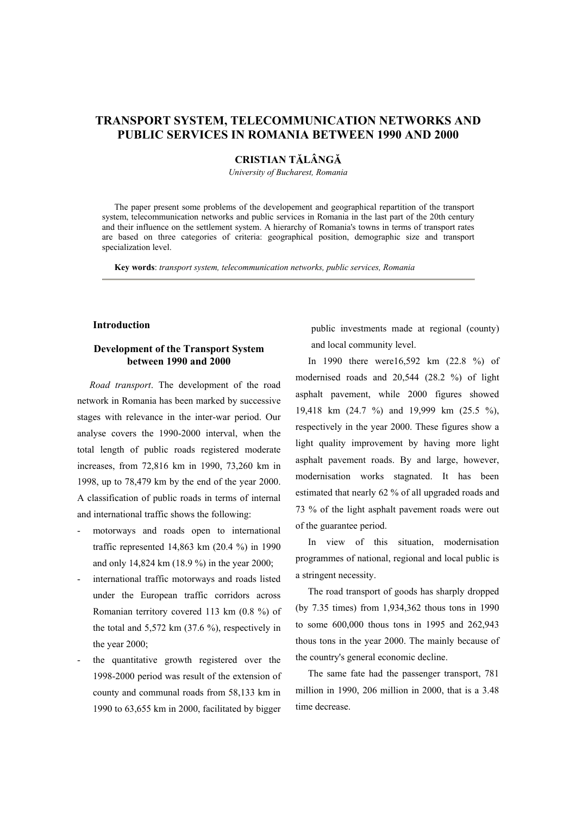# **TRANSPORT SYSTEM, TELECOMMUNICATION NETWORKS AND PUBLIC SERVICES IN ROMANIA BETWEEN 1990 AND 2000**

# **CRISTIAN TĂLÂNGĂ**

*University of Bucharest, Romania*

The paper present some problems of the developement and geographical repartition of the transport system, telecommunication networks and public services in Romania in the last part of the 20th century and their influence on the settlement system. A hierarchy of Romania's towns in terms of transport rates are based on three categories of criteria: geographical position, demographic size and transport specialization level.

**Key words**: *transport system, telecommunication networks, public services, Romania* 

#### **Introduction**

### **Development of the Transport System between 1990 and 2000**

*Road transport*. The development of the road network in Romania has been marked by successive stages with relevance in the inter-war period. Our analyse covers the 1990-2000 interval, when the total length of public roads registered moderate increases, from 72,816 km in 1990, 73,260 km in 1998, up to 78,479 km by the end of the year 2000. A classification of public roads in terms of internal and international traffic shows the following:

- motorways and roads open to international traffic represented 14,863 km (20.4 %) in 1990 and only 14,824 km (18.9 %) in the year 2000;
- international traffic motorways and roads listed under the European traffic corridors across Romanian territory covered 113 km (0.8 %) of the total and  $5,572$  km  $(37.6\%)$ , respectively in the year 2000;
- the quantitative growth registered over the 1998-2000 period was result of the extension of county and communal roads from 58,133 km in 1990 to 63,655 km in 2000, facilitated by bigger

public investments made at regional (county) and local community level.

In 1990 there were16,592 km (22.8 %) of modernised roads and 20,544 (28.2 %) of light asphalt pavement, while 2000 figures showed 19,418 km (24.7 %) and 19,999 km (25.5 %), respectively in the year 2000. These figures show a light quality improvement by having more light asphalt pavement roads. By and large, however, modernisation works stagnated. It has been estimated that nearly 62 % of all upgraded roads and 73 % of the light asphalt pavement roads were out of the guarantee period.

In view of this situation, modernisation programmes of national, regional and local public is a stringent necessity.

The road transport of goods has sharply dropped (by 7.35 times) from 1,934,362 thous tons in 1990 to some 600,000 thous tons in 1995 and 262,943 thous tons in the year 2000. The mainly because of the country's general economic decline.

The same fate had the passenger transport, 781 million in 1990, 206 million in 2000, that is a 3.48 time decrease.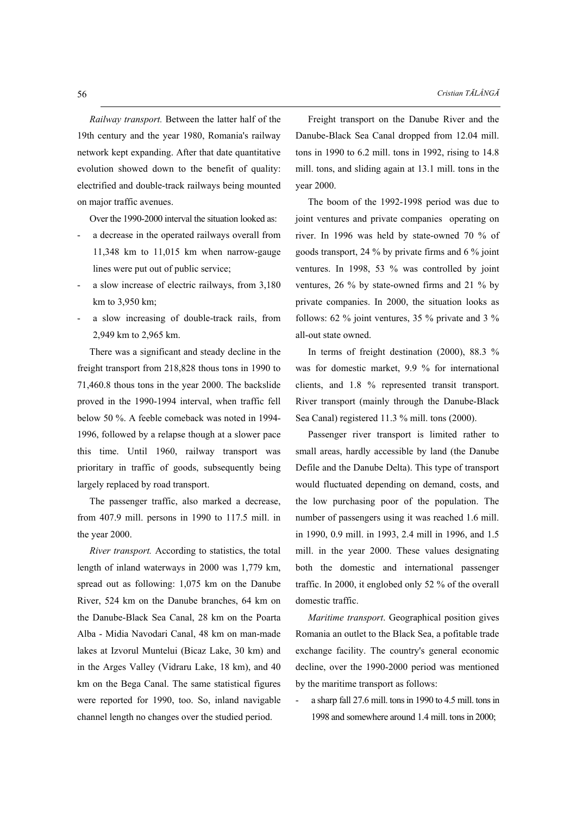*Railway transport.* Between the latter half of the 19th century and the year 1980, Romania's railway network kept expanding. After that date quantitative evolution showed down to the benefit of quality: electrified and double-track railways being mounted on major traffic avenues.

Over the 1990-2000 interval the situation looked as:

- a decrease in the operated railways overall from 11,348 km to 11,015 km when narrow-gauge lines were put out of public service;
- a slow increase of electric railways, from 3,180 km to 3,950 km;
- a slow increasing of double-track rails, from 2,949 km to 2,965 km.

There was a significant and steady decline in the freight transport from 218,828 thous tons in 1990 to 71,460.8 thous tons in the year 2000. The backslide proved in the 1990-1994 interval, when traffic fell below 50 %. A feeble comeback was noted in 1994- 1996, followed by a relapse though at a slower pace this time. Until 1960, railway transport was prioritary in traffic of goods, subsequently being largely replaced by road transport.

The passenger traffic, also marked a decrease, from 407.9 mill. persons in 1990 to 117.5 mill. in the year 2000.

*River transport.* According to statistics, the total length of inland waterways in 2000 was 1,779 km, spread out as following: 1,075 km on the Danube River, 524 km on the Danube branches, 64 km on the Danube-Black Sea Canal, 28 km on the Poarta Alba - Midia Navodari Canal, 48 km on man-made lakes at Izvorul Muntelui (Bicaz Lake, 30 km) and in the Arges Valley (Vidraru Lake, 18 km), and 40 km on the Bega Canal. The same statistical figures were reported for 1990, too. So, inland navigable channel length no changes over the studied period.

Freight transport on the Danube River and the Danube-Black Sea Canal dropped from 12.04 mill. tons in 1990 to 6.2 mill. tons in 1992, rising to 14.8 mill. tons, and sliding again at 13.1 mill. tons in the year 2000.

The boom of the 1992-1998 period was due to joint ventures and private companies operating on river. In 1996 was held by state-owned 70 % of goods transport, 24 % by private firms and 6 % joint ventures. In 1998, 53 % was controlled by joint ventures, 26 % by state-owned firms and 21 % by private companies. In 2000, the situation looks as follows: 62 % joint ventures, 35 % private and 3 % all-out state owned.

In terms of freight destination (2000), 88.3 % was for domestic market, 9.9 % for international clients, and 1.8 % represented transit transport. River transport (mainly through the Danube-Black Sea Canal) registered 11.3 % mill. tons (2000).

Passenger river transport is limited rather to small areas, hardly accessible by land (the Danube Defile and the Danube Delta). This type of transport would fluctuated depending on demand, costs, and the low purchasing poor of the population. The number of passengers using it was reached 1.6 mill. in 1990, 0.9 mill. in 1993, 2.4 mill in 1996, and 1.5 mill. in the year 2000. These values designating both the domestic and international passenger traffic. In 2000, it englobed only 52 % of the overall domestic traffic.

*Maritime transport*. Geographical position gives Romania an outlet to the Black Sea, a pofitable trade exchange facility. The country's general economic decline, over the 1990-2000 period was mentioned by the maritime transport as follows:

- a sharp fall 27.6 mill. tons in 1990 to 4.5 mill. tons in 1998 and somewhere around 1.4 mill. tons in 2000;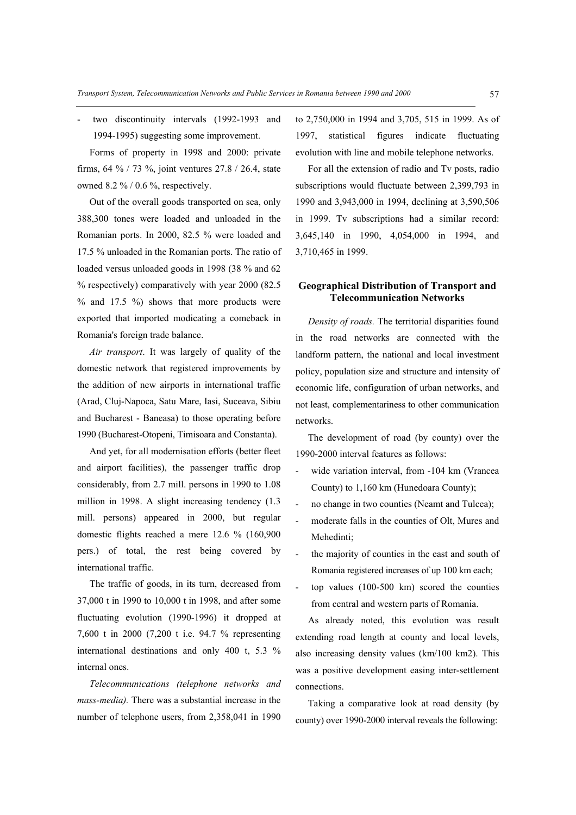two discontinuity intervals (1992-1993 and 1994-1995) suggesting some improvement.

Forms of property in 1998 and 2000: private firms, 64 % / 73 %, joint ventures 27.8 / 26.4, state owned 8.2 % / 0.6 %, respectively.

Out of the overall goods transported on sea, only 388,300 tones were loaded and unloaded in the Romanian ports. In 2000, 82.5 % were loaded and 17.5 % unloaded in the Romanian ports. The ratio of loaded versus unloaded goods in 1998 (38 % and 62 % respectively) comparatively with year 2000 (82.5  $%$  and 17.5 %) shows that more products were exported that imported modicating a comeback in Romania's foreign trade balance.

*Air transport*. It was largely of quality of the domestic network that registered improvements by the addition of new airports in international traffic (Arad, Cluj-Napoca, Satu Mare, Iasi, Suceava, Sibiu and Bucharest - Baneasa) to those operating before 1990 (Bucharest-Otopeni, Timisoara and Constanta).

And yet, for all modernisation efforts (better fleet and airport facilities), the passenger traffic drop considerably, from 2.7 mill. persons in 1990 to 1.08 million in 1998. A slight increasing tendency (1.3 mill. persons) appeared in 2000, but regular domestic flights reached a mere 12.6 % (160,900 pers.) of total, the rest being covered by international traffic.

The traffic of goods, in its turn, decreased from 37,000 t in 1990 to 10,000 t in 1998, and after some fluctuating evolution (1990-1996) it dropped at 7,600 t in 2000 (7,200 t i.e. 94.7 % representing international destinations and only 400 t, 5.3 % internal ones.

*Telecommunications (telephone networks and mass-media).* There was a substantial increase in the number of telephone users, from 2,358,041 in 1990 to 2,750,000 in 1994 and 3,705, 515 in 1999. As of 1997, statistical figures indicate fluctuating evolution with line and mobile telephone networks.

For all the extension of radio and Tv posts, radio subscriptions would fluctuate between 2,399,793 in 1990 and 3,943,000 in 1994, declining at 3,590,506 in 1999. Tv subscriptions had a similar record: 3,645,140 in 1990, 4,054,000 in 1994, and 3,710,465 in 1999.

#### **Geographical Distribution of Transport and Telecommunication Networks**

*Density of roads.* The territorial disparities found in the road networks are connected with the landform pattern, the national and local investment policy, population size and structure and intensity of economic life, configuration of urban networks, and not least, complementariness to other communication networks.

The development of road (by county) over the 1990-2000 interval features as follows:

- wide variation interval, from -104 km (Vrancea County) to 1,160 km (Hunedoara County);
- no change in two counties (Neamt and Tulcea);
- moderate falls in the counties of Olt, Mures and Mehedinti;
- the majority of counties in the east and south of Romania registered increases of up 100 km each;
- top values (100-500 km) scored the counties from central and western parts of Romania.

As already noted, this evolution was result extending road length at county and local levels, also increasing density values (km/100 km2). This was a positive development easing inter-settlement connections.

Taking a comparative look at road density (by county) over 1990-2000 interval reveals the following: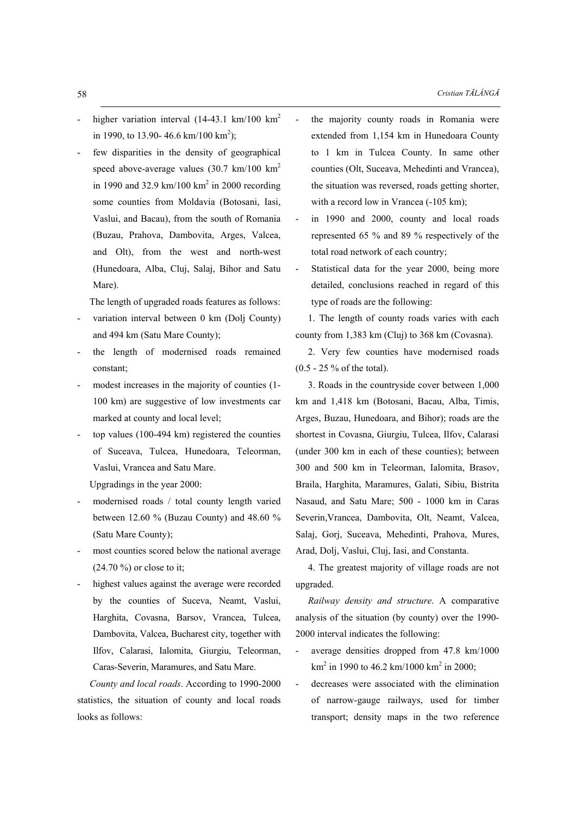- higher variation interval  $(14-43.1 \text{ km}/100 \text{ km}^2)$ in 1990, to 13.90- 46.6 km/100 km<sup>2</sup>);
- few disparities in the density of geographical speed above-average values  $(30.7 \text{ km}/100 \text{ km}^2)$ in 1990 and 32.9 km/100  $km^2$  in 2000 recording some counties from Moldavia (Botosani, Iasi, Vaslui, and Bacau), from the south of Romania (Buzau, Prahova, Dambovita, Arges, Valcea, and Olt), from the west and north-west (Hunedoara, Alba, Cluj, Salaj, Bihor and Satu Mare).

The length of upgraded roads features as follows:

- variation interval between 0 km (Dolj County) and 494 km (Satu Mare County);
- the length of modernised roads remained constant;
- modest increases in the majority of counties (1-100 km) are suggestive of low investments car marked at county and local level;
- top values  $(100-494 \text{ km})$  registered the counties of Suceava, Tulcea, Hunedoara, Teleorman, Vaslui, Vrancea and Satu Mare.

Upgradings in the year 2000:

- modernised roads / total county length varied between 12.60 % (Buzau County) and 48.60 % (Satu Mare County);
- most counties scored below the national average (24.70 %) or close to it;
- highest values against the average were recorded by the counties of Suceva, Neamt, Vaslui, Harghita, Covasna, Barsov, Vrancea, Tulcea, Dambovita, Valcea, Bucharest city, together with Ilfov, Calarasi, Ialomita, Giurgiu, Teleorman, Caras-Severin, Maramures, and Satu Mare.

*County and local roads*. According to 1990-2000 statistics, the situation of county and local roads looks as follows:

- the majority county roads in Romania were extended from 1,154 km in Hunedoara County to 1 km in Tulcea County. In same other counties (Olt, Suceava, Mehedinti and Vrancea), the situation was reversed, roads getting shorter, with a record low in Vrancea (-105 km);
- in 1990 and 2000, county and local roads represented 65 % and 89 % respectively of the total road network of each country;
- Statistical data for the year 2000, being more detailed, conclusions reached in regard of this type of roads are the following:

1. The length of county roads varies with each county from 1,383 km (Cluj) to 368 km (Covasna).

2. Very few counties have modernised roads (0.5 - 25 % of the total).

3. Roads in the countryside cover between 1,000 km and 1,418 km (Botosani, Bacau, Alba, Timis, Arges, Buzau, Hunedoara, and Bihor); roads are the shortest in Covasna, Giurgiu, Tulcea, Ilfov, Calarasi (under 300 km in each of these counties); between 300 and 500 km in Teleorman, Ialomita, Brasov, Braila, Harghita, Maramures, Galati, Sibiu, Bistrita Nasaud, and Satu Mare; 500 - 1000 km in Caras Severin,Vrancea, Dambovita, Olt, Neamt, Valcea, Salaj, Gorj, Suceava, Mehedinti, Prahova, Mures, Arad, Dolj, Vaslui, Cluj, Iasi, and Constanta.

4. The greatest majority of village roads are not upgraded.

*Railway density and structure*. A comparative analysis of the situation (by county) over the 1990- 2000 interval indicates the following:

- average densities dropped from 47.8 km/1000  $km^2$  in 1990 to 46.2 km/1000 km<sup>2</sup> in 2000;
- decreases were associated with the elimination of narrow-gauge railways, used for timber transport; density maps in the two reference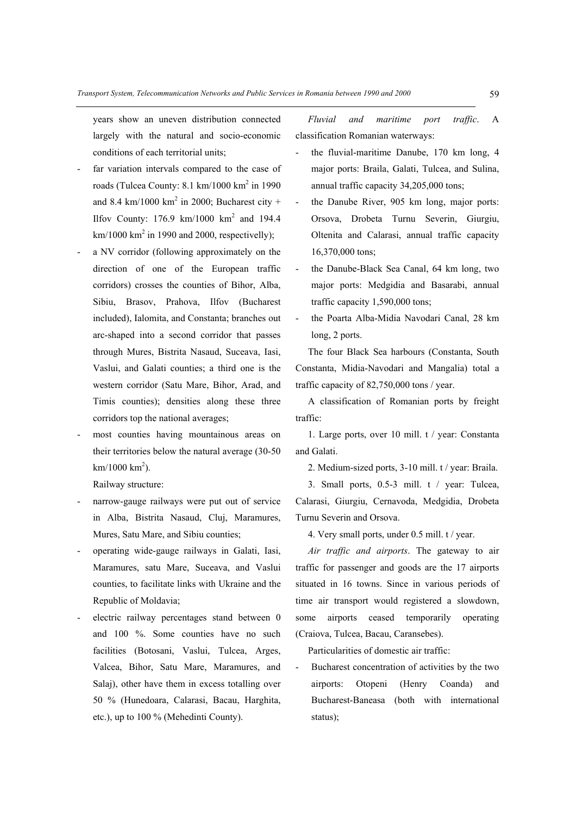years show an uneven distribution connected largely with the natural and socio-economic conditions of each territorial units;

- far variation intervals compared to the case of roads (Tulcea County:  $8.1 \text{ km}/1000 \text{ km}^2$  in 1990 and 8.4 km/1000 km<sup>2</sup> in 2000; Bucharest city + Ilfov County:  $176.9 \text{ km}/1000 \text{ km}^2$  and  $194.4$  $km/1000$  km<sup>2</sup> in 1990 and 2000, respectivelly);
- a NV corridor (following approximately on the direction of one of the European traffic corridors) crosses the counties of Bihor, Alba, Sibiu, Brasov, Prahova, Ilfov (Bucharest included), Ialomita, and Constanta; branches out arc-shaped into a second corridor that passes through Mures, Bistrita Nasaud, Suceava, Iasi, Vaslui, and Galati counties; a third one is the western corridor (Satu Mare, Bihor, Arad, and Timis counties); densities along these three corridors top the national averages;
- most counties having mountainous areas on their territories below the natural average (30-50  $km/1000 km<sup>2</sup>)$ .

Railway structure:

- narrow-gauge railways were put out of service in Alba, Bistrita Nasaud, Cluj, Maramures, Mures, Satu Mare, and Sibiu counties;
- operating wide-gauge railways in Galati, Iasi, Maramures, satu Mare, Suceava, and Vaslui counties, to facilitate links with Ukraine and the Republic of Moldavia;
- electric railway percentages stand between 0 and 100 %. Some counties have no such facilities (Botosani, Vaslui, Tulcea, Arges, Valcea, Bihor, Satu Mare, Maramures, and Salaj), other have them in excess totalling over 50 % (Hunedoara, Calarasi, Bacau, Harghita, etc.), up to 100 % (Mehedinti County).

*Fluvial and maritime port traffic*. A classification Romanian waterways:

- the fluvial-maritime Danube, 170 km long, 4 major ports: Braila, Galati, Tulcea, and Sulina, annual traffic capacity 34,205,000 tons;
- the Danube River, 905 km long, major ports: Orsova, Drobeta Turnu Severin, Giurgiu, Oltenita and Calarasi, annual traffic capacity 16,370,000 tons;
- the Danube-Black Sea Canal, 64 km long, two major ports: Medgidia and Basarabi, annual traffic capacity 1,590,000 tons;
- the Poarta Alba-Midia Navodari Canal, 28 km long, 2 ports.

The four Black Sea harbours (Constanta, South Constanta, Midia-Navodari and Mangalia) total a traffic capacity of 82,750,000 tons / year.

A classification of Romanian ports by freight traffic:

1. Large ports, over 10 mill. t / year: Constanta and Galati.

2. Medium-sized ports, 3-10 mill. t / year: Braila.

3. Small ports, 0.5-3 mill. t / year: Tulcea, Calarasi, Giurgiu, Cernavoda, Medgidia, Drobeta Turnu Severin and Orsova.

4. Very small ports, under 0.5 mill. t / year.

*Air traffic and airports*. The gateway to air traffic for passenger and goods are the 17 airports situated in 16 towns. Since in various periods of time air transport would registered a slowdown, some airports ceased temporarily operating (Craiova, Tulcea, Bacau, Caransebes).

Particularities of domestic air traffic:

Bucharest concentration of activities by the two airports: Otopeni (Henry Coanda) and Bucharest-Baneasa (both with international status);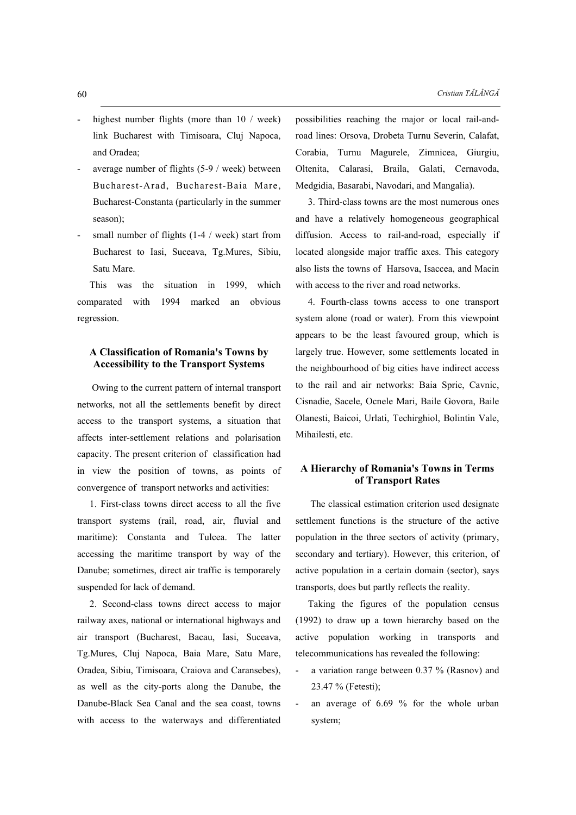- highest number flights (more than  $10 /$  week) link Bucharest with Timisoara, Cluj Napoca, and Oradea;
- average number of flights  $(5-9 /$  week) between Bucharest-Arad, Bucharest-Baia Mare, Bucharest-Constanta (particularly in the summer season);
- small number of flights  $(1-4 /$  week) start from Bucharest to Iasi, Suceava, Tg.Mures, Sibiu, Satu Mare.

This was the situation in 1999, which comparated with 1994 marked an obvious regression.

### **A Classification of Romania's Towns by Accessibility to the Transport Systems**

 Owing to the current pattern of internal transport networks, not all the settlements benefit by direct access to the transport systems, a situation that affects inter-settlement relations and polarisation capacity. The present criterion of classification had in view the position of towns, as points of convergence of transport networks and activities:

1. First-class towns direct access to all the five transport systems (rail, road, air, fluvial and maritime): Constanta and Tulcea. The latter accessing the maritime transport by way of the Danube; sometimes, direct air traffic is temporarely suspended for lack of demand.

2. Second-class towns direct access to major railway axes, national or international highways and air transport (Bucharest, Bacau, Iasi, Suceava, Tg.Mures, Cluj Napoca, Baia Mare, Satu Mare, Oradea, Sibiu, Timisoara, Craiova and Caransebes), as well as the city-ports along the Danube, the Danube-Black Sea Canal and the sea coast, towns with access to the waterways and differentiated

possibilities reaching the major or local rail-androad lines: Orsova, Drobeta Turnu Severin, Calafat, Corabia, Turnu Magurele, Zimnicea, Giurgiu, Oltenita, Calarasi, Braila, Galati, Cernavoda, Medgidia, Basarabi, Navodari, and Mangalia).

3. Third-class towns are the most numerous ones and have a relatively homogeneous geographical diffusion. Access to rail-and-road, especially if located alongside major traffic axes. This category also lists the towns of Harsova, Isaccea, and Macin with access to the river and road networks.

4. Fourth-class towns access to one transport system alone (road or water). From this viewpoint appears to be the least favoured group, which is largely true. However, some settlements located in the neighbourhood of big cities have indirect access to the rail and air networks: Baia Sprie, Cavnic, Cisnadie, Sacele, Ocnele Mari, Baile Govora, Baile Olanesti, Baicoi, Urlati, Techirghiol, Bolintin Vale, Mihailesti, etc.

# **A Hierarchy of Romania's Towns in Terms of Transport Rates**

 The classical estimation criterion used designate settlement functions is the structure of the active population in the three sectors of activity (primary, secondary and tertiary). However, this criterion, of active population in a certain domain (sector), says transports, does but partly reflects the reality.

Taking the figures of the population census (1992) to draw up a town hierarchy based on the active population working in transports and telecommunications has revealed the following:

- a variation range between 0.37 % (Rasnov) and 23.47 % (Fetesti);
- an average of 6.69 % for the whole urban system;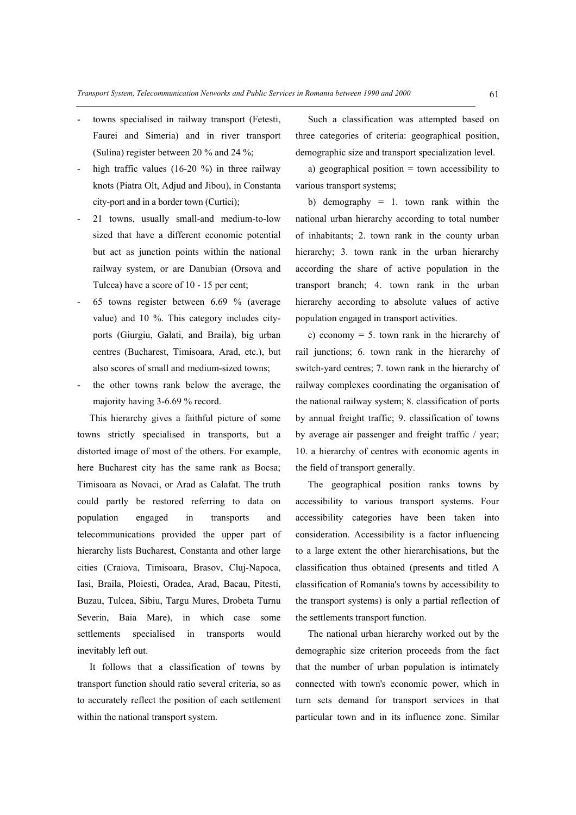- towns specialised in railway transport (Fetesti, Faurei and Simeria) and in river transport (Sulina) register between 20 % and 24 %;
- high traffic values (16-20 %) in three railway knots (Piatra Olt, Adjud and Jibou), in Constanta city-port and in a border town (Curtici);
- 21 towns, usually small-and medium-to-low sized that have a different economic potential but act as junction points within the national railway system, or are Danubian (Orsova and Tulcea) have a score of 10 - 15 per cent;
- 65 towns register between 6.69 % (average value) and 10 %. This category includes cityports (Giurgiu, Galati, and Braila), big urban centres (Bucharest, Timisoara, Arad, etc.), but also scores of small and medium-sized towns;
- the other towns rank below the average, the majority having 3-6.69 % record.

This hierarchy gives a faithful picture of some towns strictly specialised in transports, but a distorted image of most of the others. For example, here Bucharest city has the same rank as Bocsa; Timisoara as Novaci, or Arad as Calafat. The truth could partly be restored referring to data on population engaged in transports and telecommunications provided the upper part of hierarchy lists Bucharest, Constanta and other large cities (Craiova, Timisoara, Brasov, Cluj-Napoca, Iasi, Braila, Ploiesti, Oradea, Arad, Bacau, Pitesti, Buzau, Tulcea, Sibiu, Targu Mures, Drobeta Turnu Severin, Baia Mare), in which case some settlements specialised in transports would inevitably left out.

It follows that a classification of towns by transport function should ratio several criteria, so as to accurately reflect the position of each settlement within the national transport system.

Such a classification was attempted based on three categories of criteria: geographical position, demographic size and transport specialization level.

a) geographical position = town accessibility to various transport systems;

b) demography = 1. town rank within the national urban hierarchy according to total number of inhabitants; 2. town rank in the county urban hierarchy; 3. town rank in the urban hierarchy according the share of active population in the transport branch; 4. town rank in the urban hierarchy according to absolute values of active population engaged in transport activities.

c) economy = 5. town rank in the hierarchy of rail junctions; 6. town rank in the hierarchy of switch-yard centres; 7. town rank in the hierarchy of railway complexes coordinating the organisation of the national railway system; 8. classification of ports by annual freight traffic; 9. classification of towns by average air passenger and freight traffic / year; 10. a hierarchy of centres with economic agents in the field of transport generally.

The geographical position ranks towns by accessibility to various transport systems. Four accessibility categories have been taken into consideration. Accessibility is a factor influencing to a large extent the other hierarchisations, but the classification thus obtained (presents and titled A classification of Romania's towns by accessibility to the transport systems) is only a partial reflection of the settlements transport function.

The national urban hierarchy worked out by the demographic size criterion proceeds from the fact that the number of urban population is intimately connected with town's economic power, which in turn sets demand for transport services in that particular town and in its influence zone. Similar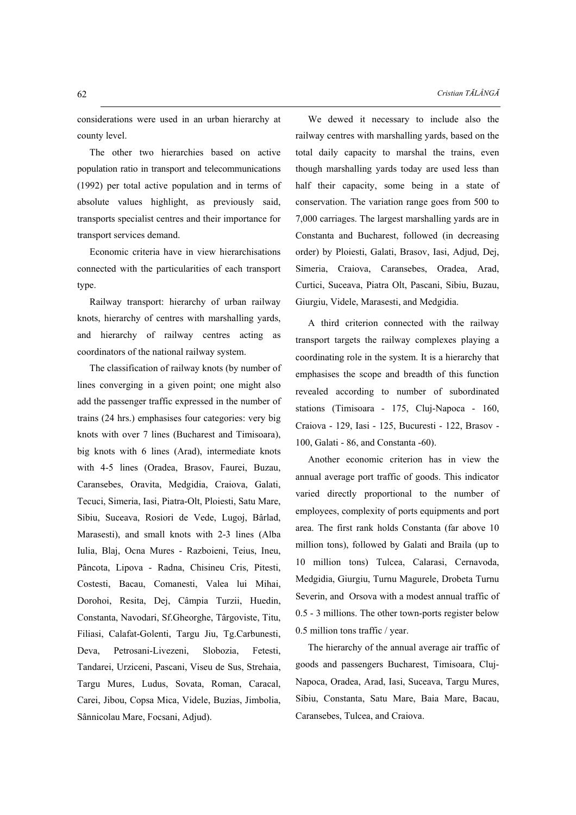considerations were used in an urban hierarchy at county level.

The other two hierarchies based on active population ratio in transport and telecommunications (1992) per total active population and in terms of absolute values highlight, as previously said, transports specialist centres and their importance for transport services demand.

Economic criteria have in view hierarchisations connected with the particularities of each transport type.

Railway transport: hierarchy of urban railway knots, hierarchy of centres with marshalling yards, and hierarchy of railway centres acting as coordinators of the national railway system.

The classification of railway knots (by number of lines converging in a given point; one might also add the passenger traffic expressed in the number of trains (24 hrs.) emphasises four categories: very big knots with over 7 lines (Bucharest and Timisoara), big knots with 6 lines (Arad), intermediate knots with 4-5 lines (Oradea, Brasov, Faurei, Buzau, Caransebes, Oravita, Medgidia, Craiova, Galati, Tecuci, Simeria, Iasi, Piatra-Olt, Ploiesti, Satu Mare, Sibiu, Suceava, Rosiori de Vede, Lugoj, Bârlad, Marasesti), and small knots with 2-3 lines (Alba Iulia, Blaj, Ocna Mures - Razboieni, Teius, Ineu, Pâncota, Lipova - Radna, Chisineu Cris, Pitesti, Costesti, Bacau, Comanesti, Valea lui Mihai, Dorohoi, Resita, Dej, Câmpia Turzii, Huedin, Constanta, Navodari, Sf.Gheorghe, Târgoviste, Titu, Filiasi, Calafat-Golenti, Targu Jiu, Tg.Carbunesti, Deva, Petrosani-Livezeni, Slobozia, Fetesti, Tandarei, Urziceni, Pascani, Viseu de Sus, Strehaia, Targu Mures, Ludus, Sovata, Roman, Caracal, Carei, Jibou, Copsa Mica, Videle, Buzias, Jimbolia, Sânnicolau Mare, Focsani, Adjud).

We dewed it necessary to include also the railway centres with marshalling yards, based on the total daily capacity to marshal the trains, even though marshalling yards today are used less than half their capacity, some being in a state of conservation. The variation range goes from 500 to 7,000 carriages. The largest marshalling yards are in Constanta and Bucharest, followed (in decreasing order) by Ploiesti, Galati, Brasov, Iasi, Adjud, Dej, Simeria, Craiova, Caransebes, Oradea, Arad, Curtici, Suceava, Piatra Olt, Pascani, Sibiu, Buzau, Giurgiu, Videle, Marasesti, and Medgidia.

A third criterion connected with the railway transport targets the railway complexes playing a coordinating role in the system. It is a hierarchy that emphasises the scope and breadth of this function revealed according to number of subordinated stations (Timisoara - 175, Cluj-Napoca - 160, Craiova - 129, Iasi - 125, Bucuresti - 122, Brasov - 100, Galati - 86, and Constanta -60).

Another economic criterion has in view the annual average port traffic of goods. This indicator varied directly proportional to the number of employees, complexity of ports equipments and port area. The first rank holds Constanta (far above 10 million tons), followed by Galati and Braila (up to 10 million tons) Tulcea, Calarasi, Cernavoda, Medgidia, Giurgiu, Turnu Magurele, Drobeta Turnu Severin, and Orsova with a modest annual traffic of 0.5 - 3 millions. The other town-ports register below 0.5 million tons traffic / year.

The hierarchy of the annual average air traffic of goods and passengers Bucharest, Timisoara, Cluj-Napoca, Oradea, Arad, Iasi, Suceava, Targu Mures, Sibiu, Constanta, Satu Mare, Baia Mare, Bacau, Caransebes, Tulcea, and Craiova.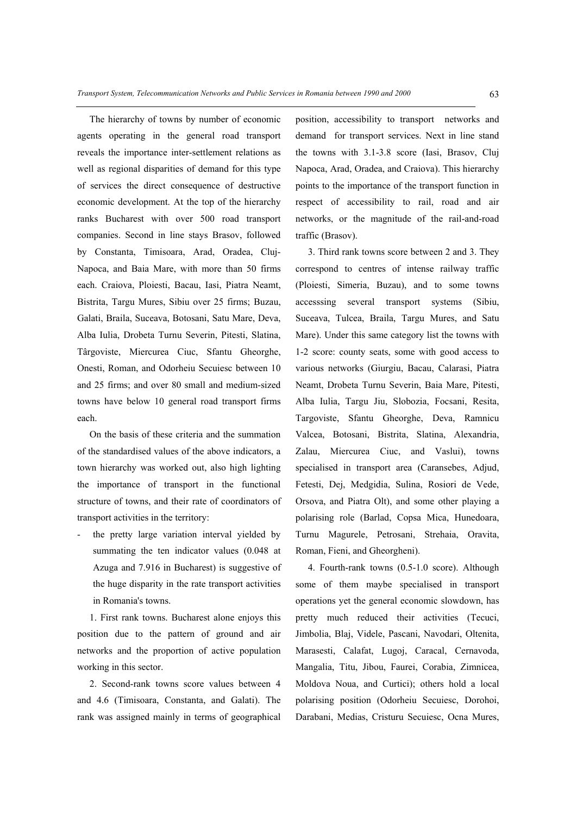The hierarchy of towns by number of economic agents operating in the general road transport reveals the importance inter-settlement relations as well as regional disparities of demand for this type of services the direct consequence of destructive economic development. At the top of the hierarchy ranks Bucharest with over 500 road transport companies. Second in line stays Brasov, followed by Constanta, Timisoara, Arad, Oradea, Cluj-Napoca, and Baia Mare, with more than 50 firms each. Craiova, Ploiesti, Bacau, Iasi, Piatra Neamt, Bistrita, Targu Mures, Sibiu over 25 firms; Buzau, Galati, Braila, Suceava, Botosani, Satu Mare, Deva, Alba Iulia, Drobeta Turnu Severin, Pitesti, Slatina, Târgoviste, Miercurea Ciuc, Sfantu Gheorghe, Onesti, Roman, and Odorheiu Secuiesc between 10 and 25 firms; and over 80 small and medium-sized towns have below 10 general road transport firms each.

On the basis of these criteria and the summation of the standardised values of the above indicators, a town hierarchy was worked out, also high lighting the importance of transport in the functional structure of towns, and their rate of coordinators of transport activities in the territory:

the pretty large variation interval yielded by summating the ten indicator values  $(0.048$  at Azuga and 7.916 in Bucharest) is suggestive of the huge disparity in the rate transport activities in Romania's towns.

1. First rank towns. Bucharest alone enjoys this position due to the pattern of ground and air networks and the proportion of active population working in this sector.

2. Second-rank towns score values between 4 and 4.6 (Timisoara, Constanta, and Galati). The rank was assigned mainly in terms of geographical position, accessibility to transport networks and demand for transport services. Next in line stand the towns with 3.1-3.8 score (Iasi, Brasov, Cluj Napoca, Arad, Oradea, and Craiova). This hierarchy points to the importance of the transport function in respect of accessibility to rail, road and air networks, or the magnitude of the rail-and-road traffic (Brasov).

3. Third rank towns score between 2 and 3. They correspond to centres of intense railway traffic (Ploiesti, Simeria, Buzau), and to some towns accesssing several transport systems (Sibiu, Suceava, Tulcea, Braila, Targu Mures, and Satu Mare). Under this same category list the towns with 1-2 score: county seats, some with good access to various networks (Giurgiu, Bacau, Calarasi, Piatra Neamt, Drobeta Turnu Severin, Baia Mare, Pitesti, Alba Iulia, Targu Jiu, Slobozia, Focsani, Resita, Targoviste, Sfantu Gheorghe, Deva, Ramnicu Valcea, Botosani, Bistrita, Slatina, Alexandria, Zalau, Miercurea Ciuc, and Vaslui), towns specialised in transport area (Caransebes, Adjud, Fetesti, Dej, Medgidia, Sulina, Rosiori de Vede, Orsova, and Piatra Olt), and some other playing a polarising role (Barlad, Copsa Mica, Hunedoara, Turnu Magurele, Petrosani, Strehaia, Oravita, Roman, Fieni, and Gheorgheni).

4. Fourth-rank towns (0.5-1.0 score). Although some of them maybe specialised in transport operations yet the general economic slowdown, has pretty much reduced their activities (Tecuci, Jimbolia, Blaj, Videle, Pascani, Navodari, Oltenita, Marasesti, Calafat, Lugoj, Caracal, Cernavoda, Mangalia, Titu, Jibou, Faurei, Corabia, Zimnicea, Moldova Noua, and Curtici); others hold a local polarising position (Odorheiu Secuiesc, Dorohoi, Darabani, Medias, Cristuru Secuiesc, Ocna Mures,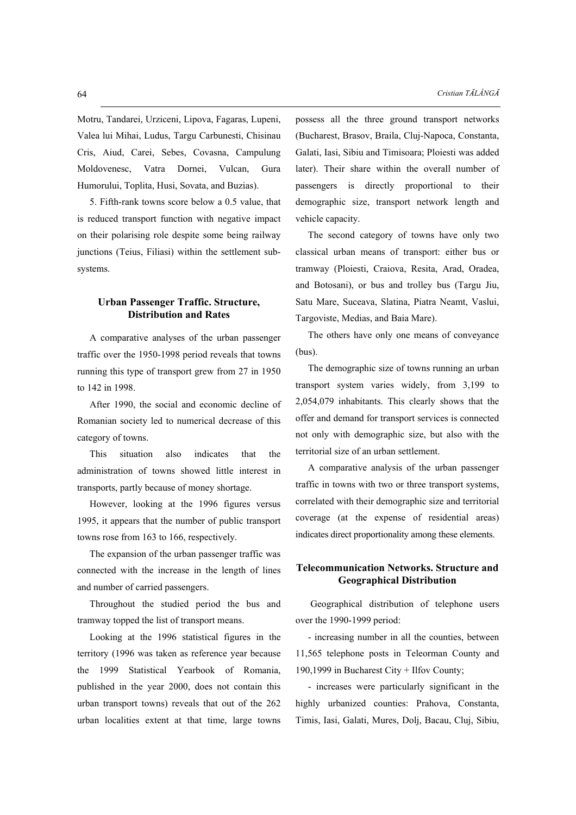Motru, Tandarei, Urziceni, Lipova, Fagaras, Lupeni, Valea lui Mihai, Ludus, Targu Carbunesti, Chisinau Cris, Aiud, Carei, Sebes, Covasna, Campulung Moldovenesc, Vatra Dornei, Vulcan, Gura Humorului, Toplita, Husi, Sovata, and Buzias).

5. Fifth-rank towns score below a 0.5 value, that is reduced transport function with negative impact on their polarising role despite some being railway junctions (Teius, Filiasi) within the settlement subsystems.

# **Urban Passenger Traffic. Structure, Distribution and Rates**

A comparative analyses of the urban passenger traffic over the 1950-1998 period reveals that towns running this type of transport grew from 27 in 1950 to 142 in 1998.

After 1990, the social and economic decline of Romanian society led to numerical decrease of this category of towns.

This situation also indicates that the administration of towns showed little interest in transports, partly because of money shortage.

However, looking at the 1996 figures versus 1995, it appears that the number of public transport towns rose from 163 to 166, respectively.

The expansion of the urban passenger traffic was connected with the increase in the length of lines and number of carried passengers.

Throughout the studied period the bus and tramway topped the list of transport means.

Looking at the 1996 statistical figures in the territory (1996 was taken as reference year because the 1999 Statistical Yearbook of Romania, published in the year 2000, does not contain this urban transport towns) reveals that out of the 262 urban localities extent at that time, large towns possess all the three ground transport networks (Bucharest, Brasov, Braila, Cluj-Napoca, Constanta, Galati, Iasi, Sibiu and Timisoara; Ploiesti was added later). Their share within the overall number of passengers is directly proportional to their demographic size, transport network length and vehicle capacity.

The second category of towns have only two classical urban means of transport: either bus or tramway (Ploiesti, Craiova, Resita, Arad, Oradea, and Botosani), or bus and trolley bus (Targu Jiu, Satu Mare, Suceava, Slatina, Piatra Neamt, Vaslui, Targoviste, Medias, and Baia Mare).

The others have only one means of conveyance (bus).

The demographic size of towns running an urban transport system varies widely, from 3,199 to 2,054,079 inhabitants. This clearly shows that the offer and demand for transport services is connected not only with demographic size, but also with the territorial size of an urban settlement.

A comparative analysis of the urban passenger traffic in towns with two or three transport systems, correlated with their demographic size and territorial coverage (at the expense of residential areas) indicates direct proportionality among these elements.

# **Telecommunication Networks. Structure and Geographical Distribution**

 Geographical distribution of telephone users over the 1990-1999 period:

- increasing number in all the counties, between 11,565 telephone posts in Teleorman County and 190,1999 in Bucharest City + Ilfov County;

- increases were particularly significant in the highly urbanized counties: Prahova, Constanta, Timis, Iasi, Galati, Mures, Dolj, Bacau, Cluj, Sibiu,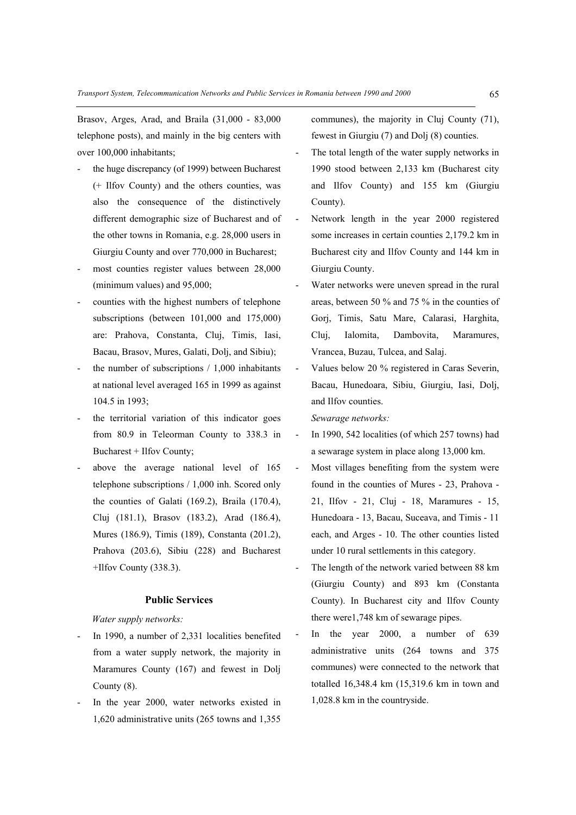Brasov, Arges, Arad, and Braila (31,000 - 83,000 telephone posts), and mainly in the big centers with over 100,000 inhabitants;

- the huge discrepancy (of 1999) between Bucharest (+ Ilfov County) and the others counties, was also the consequence of the distinctively different demographic size of Bucharest and of the other towns in Romania, e.g. 28,000 users in Giurgiu County and over 770,000 in Bucharest;
- most counties register values between 28,000 (minimum values) and 95,000;
- counties with the highest numbers of telephone subscriptions (between 101,000 and 175,000) are: Prahova, Constanta, Cluj, Timis, Iasi, Bacau, Brasov, Mures, Galati, Dolj, and Sibiu);
- the number of subscriptions  $/ 1,000$  inhabitants at national level averaged 165 in 1999 as against 104.5 in 1993;
- the territorial variation of this indicator goes from 80.9 in Teleorman County to 338.3 in Bucharest + Ilfov County;
- above the average national level of 165 telephone subscriptions / 1,000 inh. Scored only the counties of Galati (169.2), Braila (170.4), Cluj (181.1), Brasov (183.2), Arad (186.4), Mures (186.9), Timis (189), Constanta (201.2), Prahova (203.6), Sibiu (228) and Bucharest +Ilfov County (338.3).

#### **Public Services**

### *Water supply networks:*

- In 1990, a number of 2,331 localities benefited from a water supply network, the majority in Maramures County (167) and fewest in Dolj County (8).
- In the year 2000, water networks existed in 1,620 administrative units (265 towns and 1,355

communes), the majority in Cluj County (71), fewest in Giurgiu (7) and Dolj (8) counties.

- The total length of the water supply networks in 1990 stood between 2,133 km (Bucharest city and Ilfov County) and 155 km (Giurgiu County).
- Network length in the year 2000 registered some increases in certain counties 2,179.2 km in Bucharest city and Ilfov County and 144 km in Giurgiu County.
- Water networks were uneven spread in the rural areas, between 50 % and 75 % in the counties of Gorj, Timis, Satu Mare, Calarasi, Harghita, Cluj, Ialomita, Dambovita, Maramures, Vrancea, Buzau, Tulcea, and Salaj.
- Values below 20 % registered in Caras Severin, Bacau, Hunedoara, Sibiu, Giurgiu, Iasi, Dolj, and Ilfov counties.

 *Sewarage networks:* 

- In 1990, 542 localities (of which 257 towns) had a sewarage system in place along 13,000 km.
- Most villages benefiting from the system were found in the counties of Mures - 23, Prahova - 21, Ilfov - 21, Cluj - 18, Maramures - 15, Hunedoara - 13, Bacau, Suceava, and Timis - 11 each, and Arges - 10. The other counties listed under 10 rural settlements in this category.
- The length of the network varied between 88 km (Giurgiu County) and 893 km (Constanta County). In Bucharest city and Ilfov County there were1,748 km of sewarage pipes.
- In the year 2000, a number of 639 administrative units (264 towns and 375 communes) were connected to the network that totalled 16,348.4 km (15,319.6 km in town and 1,028.8 km in the countryside.